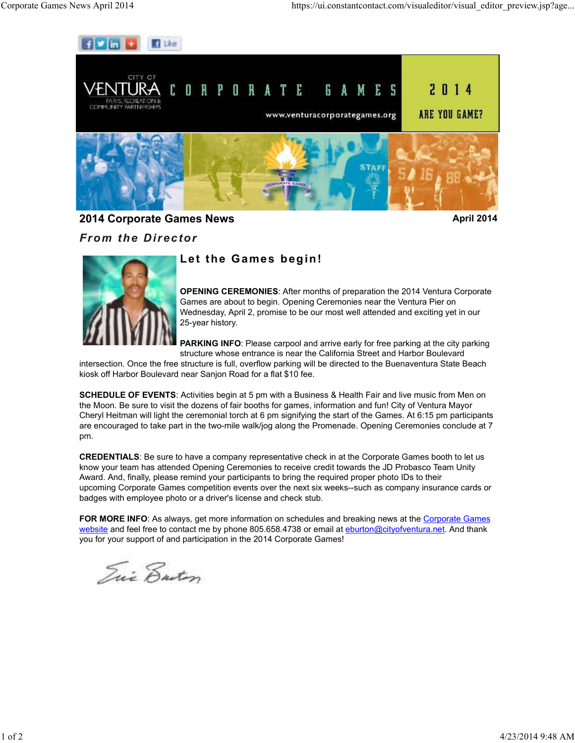

**2014 Corporate Games News April 2014 April 2014** 

*From the Director*



## **Let the Games begin!**

**OPENING CEREMONIES**: After months of preparation the 2014 Ventura Corporate Games are about to begin. Opening Ceremonies near the Ventura Pier on Wednesday, April 2, promise to be our most well attended and exciting yet in our 25-year history.

**PARKING INFO**: Please carpool and arrive early for free parking at the city parking structure whose entrance is near the California Street and Harbor Boulevard

intersection. Once the free structure is full, overflow parking will be directed to the Buenaventura State Beach kiosk off Harbor Boulevard near Sanjon Road for a flat \$10 fee.

**SCHEDULE OF EVENTS**: Activities begin at 5 pm with a Business & Health Fair and live music from Men on the Moon. Be sure to visit the dozens of fair booths for games, information and fun! City of Ventura Mayor Cheryl Heitman will light the ceremonial torch at 6 pm signifying the start of the Games. At 6:15 pm participants are encouraged to take part in the two-mile walk/jog along the Promenade. Opening Ceremonies conclude at 7 pm.

**CREDENTIALS**: Be sure to have a company representative check in at the Corporate Games booth to let us know your team has attended Opening Ceremonies to receive credit towards the JD Probasco Team Unity Award. And, finally, please remind your participants to bring the required proper photo IDs to their upcoming Corporate Games competition events over the next six weeks--such as company insurance cards or badges with employee photo or a driver's license and check stub.

**FOR MORE INFO:** As always, get more information on schedules and breaking news at the Corporate Games website and feel free to contact me by phone 805.658.4738 or email at eburton@cityofventura.net. And thank you for your support of and participation in the 2014 Corporate Games!

Tui Ensten